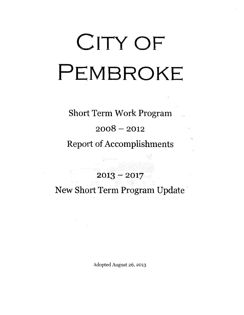## **CITY OF PEMBROKE**

## Short Term Work Program

 $2008 - 2012$ 

Report of Accomplishments

2013-2017

New Short Term Program Update

Adopted August 26, 2013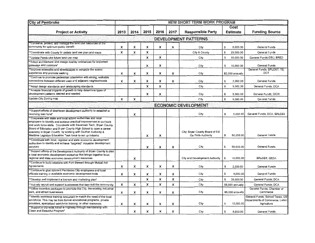| <b>City of Pembroke</b>                                                                                                                                                                                                                                                                                                                                                                                       | <b>NEW SHORT TERM WORK PROGRAM</b> |      |      |      |      |                                                       |    |                         |                                                                                   |  |
|---------------------------------------------------------------------------------------------------------------------------------------------------------------------------------------------------------------------------------------------------------------------------------------------------------------------------------------------------------------------------------------------------------------|------------------------------------|------|------|------|------|-------------------------------------------------------|----|-------------------------|-----------------------------------------------------------------------------------|--|
| <b>Project or Activity</b>                                                                                                                                                                                                                                                                                                                                                                                    | 2013                               | 2014 | 2015 | 2016 | 2017 | <b>Responsible Party</b>                              |    | Cost<br><b>Estimate</b> | <b>Funding Source</b>                                                             |  |
|                                                                                                                                                                                                                                                                                                                                                                                                               |                                    |      |      |      |      | <b>DEVELOPMENT PATTERNS</b>                           |    |                         |                                                                                   |  |
| **Conserve, protect, and manage the land use resources of the<br>community for optimum public benefit                                                                                                                                                                                                                                                                                                         | x                                  | x    | X    | x    | x    | City                                                  | \$ | 5,000.00                | General Funds                                                                     |  |
| **Coordinate with County to update land use plan and maps                                                                                                                                                                                                                                                                                                                                                     | x                                  | x    | X    |      |      | City & County                                         | \$ | 25,000.00               | General Funds                                                                     |  |
| **Update Pembroke future land use map                                                                                                                                                                                                                                                                                                                                                                         |                                    |      | X    | x    |      | City                                                  | S  | 10,000.00               | General Funds; GSU; BRED                                                          |  |
| ** Adopt architectural and design overlay ordinances for important<br>gateways and corridors*                                                                                                                                                                                                                                                                                                                 |                                    |      | x    | x    |      | City                                                  | \$ | 10,000.00               | General Funds                                                                     |  |
| ** Improve sidewalks and streetscapes to enhance the scenic<br>experience and promote walking                                                                                                                                                                                                                                                                                                                 | x                                  | x    | X    | x    | X    | City                                                  |    | \$2,000 annually        | General Funds; SPLOST; TE;<br>DOT                                                 |  |
| **Continue to promote pedestrian orientation with strong, walkable<br>connections between different uses and adjacent neighborhoods                                                                                                                                                                                                                                                                           | x                                  | x    | X    | x    | X    | City                                                  | \$ | 2.000.00                | General Funds                                                                     |  |
| **Adopt design standards and landscaping standards                                                                                                                                                                                                                                                                                                                                                            |                                    |      | X    | x    |      | City                                                  | \$ | 5,000.00                | General Funds; DCA                                                                |  |
| ** Analyze financial impacts of growth to help determine types of<br>development patterns desired and needed                                                                                                                                                                                                                                                                                                  |                                    |      | x    | x    |      | City                                                  | \$ | 5,000.00                | General Funds; GICH                                                               |  |
| Update City Zoning map                                                                                                                                                                                                                                                                                                                                                                                        | x                                  | x    |      |      |      | City                                                  | \$ | 5,000.00                | General Funds                                                                     |  |
| <b>ECONOMIC DEVELOPMENT</b>                                                                                                                                                                                                                                                                                                                                                                                   |                                    |      |      |      |      |                                                       |    |                         |                                                                                   |  |
| **Support efforts of downtown development authority to establish a<br>revolving loan fund*                                                                                                                                                                                                                                                                                                                    |                                    | x    |      |      |      | City                                                  | \$ | 5,000.00                | General Funds; DCA; SPLOST                                                        |  |
| **Cooperate with state and local school authorities and local<br>employers to identify and achieve practical improvement in curricula<br>and work force skills. Coordinate with Savannah Tech, Bryan County<br>Board of Education and Bryan County High School to open a career<br>academy in Bryan County by working with Ga Port Authority &<br>Maritime Logistics Education Task force to set up industry. |                                    |      | x    | x    |      | City; Bryan County Board of Ed;<br>Ga Ports Authority | \$ | 50,000.00               | General Funds                                                                     |  |
| **Coordinate with local, regional and state economic development<br>authorities to identify and achieve "targeted" industrial development<br>services                                                                                                                                                                                                                                                         |                                    |      | X    | x    | x    | City                                                  | \$ | 50,000.00               | General Funds                                                                     |  |
| **Support efforts of the Development Authority of Bryan County to plan<br>a local economic development workshop that brings together local,<br>regional and state economic development resources                                                                                                                                                                                                              |                                    | х    |      |      |      | City and Development Authority                        | 5  | 10,000.00               | SPLOST: GEDA                                                                      |  |
| ** Continue to build relations with Fort Stewart through Mutual Aid<br>Agreements                                                                                                                                                                                                                                                                                                                             | x                                  | x    | x    | x    | х    | City                                                  | S  | 2,000.00                | General Funds                                                                     |  |
| **Continue to give relevant Pembroke City employees and local<br>officials training in available economic development tools                                                                                                                                                                                                                                                                                   | х                                  | x    | х    | x    | x    | City                                                  | S. | 5,000.00                | General Funds                                                                     |  |
| **Develop and implement a tourism and marketing plan*                                                                                                                                                                                                                                                                                                                                                         |                                    |      | X    | x    | x    | City                                                  | £. | 25,000.00               | General Funds: DCA                                                                |  |
| **Actively recruit and support businesses that best suit the community                                                                                                                                                                                                                                                                                                                                        | x                                  | x    | X    | x    | x    | City                                                  |    | \$5,000 annually        | General Funds; DCA                                                                |  |
| ** Utilize incentive packages to promote the City, the existing industrial<br>park, and attract businesses                                                                                                                                                                                                                                                                                                    | X                                  | x    | x    | x    | X    | City                                                  |    | \$5,000 annually        | General Funds; Chamber of<br>Commerce                                             |  |
| ** Identify workforce training resources to match the need of the local<br>workforce. This may be from formal educational programs, private<br>providers, specialized workforce training, or other resources                                                                                                                                                                                                  | X                                  | x    | X    | x    | x    | City                                                  | 5  | 10,000.00               | General Funds; School Taxes; US<br>Departments of Commerce; Labor;<br>Agriculture |  |
| **Support a city-wide Adopt-a-Highway through membership with<br>Clean and Beautiful Program*                                                                                                                                                                                                                                                                                                                 |                                    | X    | Х    | x    | x    | City                                                  | \$ | 5,000.00                | General Funds                                                                     |  |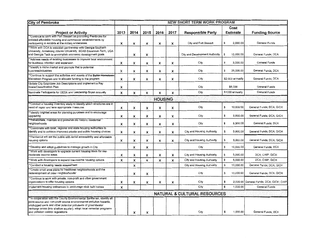| <b>City of Pembroke</b>                                                                                                                                                                                                                                                                                                      |      |      |      |                |      | <b>NEW SHORT TERM WORK PROGRAM</b>      |     |                  |                                         |  |  |  |  |
|------------------------------------------------------------------------------------------------------------------------------------------------------------------------------------------------------------------------------------------------------------------------------------------------------------------------------|------|------|------|----------------|------|-----------------------------------------|-----|------------------|-----------------------------------------|--|--|--|--|
|                                                                                                                                                                                                                                                                                                                              |      |      |      |                |      |                                         |     | Cost             |                                         |  |  |  |  |
| <b>Project or Activity</b>                                                                                                                                                                                                                                                                                                   | 2013 | 2014 | 2015 | 2016           | 2017 | <b>Responsible Party</b>                |     | <b>Estimate</b>  | <b>Funding Source</b>                   |  |  |  |  |
| *Continue to work with Fort Stewart on promoting Pembroke for<br>enlisted affordable housing and commercial establishments by<br>participating in exhibits at the miltary showcases.                                                                                                                                         | x    | x    | x    | x              | х    | City and Fort Stewart                   | \$  | 2,000.00         | General Funds                           |  |  |  |  |
| *Work with DCA to establish partnership with Georgia Southern<br>University, Armstrong Atlantic University, SCAD-Savannah Tech, UGA<br>and Georgia Tech to accomplish economic development goals                                                                                                                             |      | X    | x    |                |      | City and Development Authority          | s.  | 10.000.00        | General Funds: DCA                      |  |  |  |  |
| *Address needs of existing businesses to improve local environment<br>for business retention and expansion                                                                                                                                                                                                                   | x    | x    | x    | x              | x    | City                                    | \$  | 3,000.00         | General Funds                           |  |  |  |  |
| **Identify a niche market and promote that to potential<br>business/industries                                                                                                                                                                                                                                               | x    | x    | x    | x              | x    | City                                    | 5   | 25,000.00        | General Funds; DCA                      |  |  |  |  |
| **Continue to support the activities and events of the Better Hometown<br>Mainstreet Program and to allocate funding to the program                                                                                                                                                                                          | X    | x    | x    | x              | x    | City                                    |     | \$2,000 annually | General Funds; DCA                      |  |  |  |  |
| Update City Employee Job Descriptions and Implement a Pay<br>Scale/Classification Plan                                                                                                                                                                                                                                       | x    |      |      |                |      | City                                    |     | \$8,000          | General Funds                           |  |  |  |  |
| Nominate Participants for GEDA and Leadership Bryan annually                                                                                                                                                                                                                                                                 | x    | x    | x    | X              | X    | City                                    |     | \$1000 annually  | General Funds                           |  |  |  |  |
|                                                                                                                                                                                                                                                                                                                              |      |      |      | <b>HOUSING</b> |      |                                         |     |                  |                                         |  |  |  |  |
| **Conduct a housing inventory study to identify which structures are in<br>need of repair and take appropriate measures                                                                                                                                                                                                      | x    | x    | x    | x              | X    | City                                    | \$  | 10,000.00        | General Funds; DCA; GICH                |  |  |  |  |
| *Identify blighted areas for planning purposes and to encourage<br>upgrading                                                                                                                                                                                                                                                 | X    | x    | x    | x              | x    | City                                    | \$  | 5,000.00         | General Funds; DCA; GICH                |  |  |  |  |
| *Rehabilitate, maintain and preserve old historic residential<br>neighborhoods                                                                                                                                                                                                                                               | x    | x    | x    | x              | x    | City                                    | S   | 5,000.00         | General Funds: DCA                      |  |  |  |  |
| *Coordinate with local, regional and state housing authorities to<br>dentify and to achieve improved private and public housing choices                                                                                                                                                                                      | x    | х    | x    | x              | x    | City and Housing Authonity              | \$. | 5,000.00         | General Funds; DCA; GICH                |  |  |  |  |
| *Pembroke will eid the public with rental accessibility and affordable<br>housing options                                                                                                                                                                                                                                    | x    | x    | x    | x              | x    | City and Housing Authority              | \$  | 5,000.00         | General Funds; DCA; GICH                |  |  |  |  |
| *Develop and adopt guidelines to manage growth in City                                                                                                                                                                                                                                                                       |      | x    | X    |                |      | City                                    | \$  | 10,000.00        | General Funds; DCA                      |  |  |  |  |
| *Work with developers to upgrade current housing stock for low-<br>moderate income areas                                                                                                                                                                                                                                     | x    | x    | x    | x              | X    | City and Housing Authority              | \$  | 5,000.00         | DCA; CHIP; GICH                         |  |  |  |  |
| *Work with developers to expand low-income housing options                                                                                                                                                                                                                                                                   | x    | x    | x    | x              | x    | City and Housing Authority              | \$  | 5,000.00         | DCA: CHIP; GICH                         |  |  |  |  |
| *Conduct a housing needs assessment                                                                                                                                                                                                                                                                                          |      | X    |      |                |      | City and Housing Authority              | \$  | 10,000.00        | General Funds; DCA; GICH                |  |  |  |  |
| *Create small area plans for traditional neighborhoods and the<br>edevelopment of older neighborhoods*                                                                                                                                                                                                                       |      | x    | x    |                |      | City                                    | \$  | 10,000.00        | General Funds; DCA; GICH                |  |  |  |  |
| *Continue to work with private, non-profit and other government<br>organizations to offer housing options                                                                                                                                                                                                                    | X    | x    | x    | x              | x    | City                                    | \$  |                  | 2,000.00 General Funds; DCA; GICH; CHIP |  |  |  |  |
| Implement housing ordinances to encourage stick built homes                                                                                                                                                                                                                                                                  | x    |      |      |                |      | City                                    | \$  | 1,000.00         | General Funds                           |  |  |  |  |
|                                                                                                                                                                                                                                                                                                                              |      |      |      |                |      | <b>NATURAL &amp; CULTURAL RESOURCES</b> |     |                  |                                         |  |  |  |  |
| **In cooperation with the County Environmental Sanitarian, identify all<br>point-source and non-profit source environmental pollution hazards,<br>unplugged wells and other potential pollutants of groundwater<br>recharge areas (into shallow aquifer); adopt local remedial programs<br>and poliution control regulations |      | x    | x    |                |      | City                                    | \$  | 1,000.00         | General Funds; DCA                      |  |  |  |  |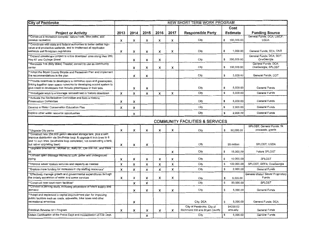| <b>City of Pembroke</b>                                                                                                                                                                                                                           |      |      |      |      |              | <b>NEW SHORT TERM WORK PROGRAM</b>                          |                |                       |                                               |
|---------------------------------------------------------------------------------------------------------------------------------------------------------------------------------------------------------------------------------------------------|------|------|------|------|--------------|-------------------------------------------------------------|----------------|-----------------------|-----------------------------------------------|
|                                                                                                                                                                                                                                                   |      |      |      |      |              |                                                             |                | Cost                  |                                               |
| <b>Project or Activity</b>                                                                                                                                                                                                                        | 2013 | 2014 | 2015 | 2016 | 2017         | <b>Responsible Party</b>                                    |                | Estimate              | <b>Funding Source</b>                         |
| *Construct a recreation complex: nature trails, bike paths, and<br>passive recreation                                                                                                                                                             | x    | x    | x    | x    | x            | City                                                        | \$             | 100,000.00            | General Funds; DCA; LWCF;<br><b>USDA</b>      |
| **Coordinate with state and federal authorities to better define high-<br>value and productive wetlands, and to implement all applicable<br>wetlands and floodplain regulations                                                                   | x    | x    | X    | x    | х            | City                                                        | \$             | 1,000.00              | General Funds; DCA; DNR                       |
| *Expand streetscape project to entire downtown area along Hwy 280,<br>twy 67 and College Street                                                                                                                                                   |      | x    | X    | x    |              | City                                                        | \$             | 250,000.00            | General Funds; DCA; DOT;<br>OneGeorgia        |
| *Renovate Tos (Billy Miles) Theater; convert to use as community<br>center                                                                                                                                                                        |      | x    | x    | x    | x            | City                                                        | \$             | 100,000.00            | General Funds: DCA:<br>OneGeorgia; SPLOST     |
| **Adopt the Bryan County Bicycle and Pedestrian Plan and implement<br>the recommendations in the plan                                                                                                                                             |      | x    | x    |      |              | City                                                        | \$             | 5.000.00              | General Funds; DOT                            |
| *Provide incentives to developers to conserve open and greenspace,<br>inking together open space networks by developing a point system to<br>give credit to developers that include greenspace in their bids.                                     |      | x    | X    |      |              | City                                                        | \$             | 5,000.00              | General Funds                                 |
| *investigate ways to encourage reinvestment in historic downtown                                                                                                                                                                                  | x    | x    | x    | x    | x            | City                                                        | $\mathfrak{S}$ | 5,000.00              | General Funds                                 |
| **Activate the Revitalization Committee and form a Historic<br>Preservation Committee                                                                                                                                                             | X    | x    |      |      |              | City                                                        | \$             | 5,000.00              | General Funds                                 |
| Develop a Water Conservation Education Plan                                                                                                                                                                                                       | X    | x    |      |      |              | City                                                        | S              | 2,000.00              | General Funds                                 |
| Explore other water resource opportunities                                                                                                                                                                                                        |      | x    |      |      |              | City                                                        | S              | 2,000.00              | General Funds                                 |
|                                                                                                                                                                                                                                                   |      |      |      |      |              | <b>COMMUNITY FACILITIES &amp; SERVICES</b>                  |                |                       |                                               |
| *Upgrade City parks                                                                                                                                                                                                                               | X    | x    | x    | X    | $\mathsf{x}$ | City                                                        | \$             | 50,000.00             | SPLOST: General Funds; 5k<br>proceeds; grants |
| *Construct new 250,000 gallon elevated storage tank, plus a well;<br>mprove distribution via Southside loop; & upgrade 6 inch lines to 8<br>and 10 inch lines. (southside loop completed; not constructing a tank,<br>but rather upgrading lines) | x    | x    | x    |      |              | City                                                        |                | \$5 million           | SPLOST: USDA                                  |
| "Upgrade Shuman St., McRae St., Kelly St., Old Still Rd., and Ware"<br>St.                                                                                                                                                                        |      |      |      |      | $\mathsf{x}$ | City                                                        | s.             | 15,000.00             | Future SPLOST                                 |
| *Convert open drainage ditches to curb, gutter and underground<br>piping                                                                                                                                                                          | x    | X    | x    | x    | х            | City                                                        | \$             | 10,000,00             | SPLOST                                        |
| *Improve sewer system services and capacity as needed                                                                                                                                                                                             | x    | x    | X    | x    | X            | City                                                        | \$             | 100,000.00            | SPLOST; GEFA; OneGeorgia                      |
| "Explore more funding for increases in city staffing resources"                                                                                                                                                                                   | x    | X    | x    | x    | X            | City                                                        | \$             | 2.000.00              | General Funds                                 |
| *Effectively manage growth and governmental expenditures through<br>the orderly expansion of water and sewer services                                                                                                                             | x    | x    | x    | x    | x            | City                                                        | \$             | 5,000.00              | General-Water/ Sewer Proprietary<br>Funds     |
| *Construct new court room facilities*                                                                                                                                                                                                             |      | x    | X    |      |              | City                                                        | \$             | 50,000.00             | SPLOST                                        |
| Conduct a parking study, including projections of future supply and<br>demand                                                                                                                                                                     |      | x    | x    | x    | x            | City                                                        | \$             | 5,000.00              | General Funds                                 |
| *Adopt and implement a capital improvement plan for improving<br>public facilities such as roads, sidewalks, bike lanes and other<br>recreational amenities                                                                                       |      | x    |      |      |              | City; DCA                                                   | S              | 5,000.00              | General Funds; DCA                            |
| Establish Reverse 911 Program                                                                                                                                                                                                                     | x    | X    | x    | x    | X            | City of Pembroke, City of<br>Richmond Hill and Bryen County |                | \$4000.00<br>annually | General Funds                                 |
| Obtain Certification of the Police Dept and Accreditation of Fire Dept.                                                                                                                                                                           |      |      | x    |      |              | City                                                        | \$             | 5,000.00              | General Funds                                 |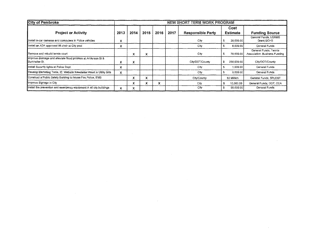| <b>City of Pembroke</b>                                                                  | NEW SHORT TERM WORK PROGRAM |      |      |      |      |                          |    |                         |                                                        |
|------------------------------------------------------------------------------------------|-----------------------------|------|------|------|------|--------------------------|----|-------------------------|--------------------------------------------------------|
| <b>Project or Activity</b>                                                               | 2013                        | 2014 | 2015 | 2016 | 2017 | <b>Responsible Party</b> |    | Cost<br><b>Estimate</b> | <b>Funding Source</b>                                  |
| Install in-car cameras and computers in Police vehicles                                  | x                           |      |      |      |      | City                     |    | 20,000.00               | General Funds; LGRMS<br>Grant: GOHS                    |
| Install an ADA approved lift chair at City pool                                          | x                           |      |      |      |      | City                     |    | 6,000,00                | General Funds                                          |
| IRemove and rebuild tennis court                                                         |                             | x    | x    |      |      | City.                    |    | 70,000.00               | General Funds; Tennis<br>Association; Business Funding |
| Improve drainage and alleviate flood problem at Anderson St &<br><b>I</b> Burkhalter St. | x                           | x    |      |      |      | City/DOT/County          | \$ | 250,000,00              | City/DOT/County                                        |
| Install Security lights at Police Dept.                                                  | x                           |      |      |      |      | City                     |    | 1,000,00                | General Funds                                          |
| Develop Marketing Tools, IE: Website Newsletter insert in Utility Bills                  | x                           |      |      |      |      | City                     |    | 5,000.00                | General Funds                                          |
| Construct a Public Safety Building to house Fire Police, EMS                             |                             | л    | x    |      |      | City/County              |    | הS2 Million             | General Funds; SPLOST                                  |
| Improve Signage in City                                                                  |                             | x    | ^    | x    |      | C <sub>II</sub>          |    | 10,000,00               | General Funds; DOT; DCA                                |
| Install fire prevention and emergency equipment in all city buildings                    | x                           | x    |      |      |      | City                     | £  | 50,000,00               | General Funds                                          |

 $\mathcal{L}(\mathcal{L}(\mathcal{L}))$  and the contribution of the contribution of the contribution of the contribution of the contribution of the contribution of the contribution of the contribution of the contribution of the contribution

 $\mathcal{L}(\mathcal{L}(\mathcal{L}(\mathcal{L}(\mathcal{L}(\mathcal{L}(\mathcal{L}(\mathcal{L}(\mathcal{L}(\mathcal{L}(\mathcal{L}(\mathcal{L}(\mathcal{L}(\mathcal{L}(\mathcal{L}(\mathcal{L}(\mathcal{L}(\mathcal{L}(\mathcal{L}(\mathcal{L}(\mathcal{L}(\mathcal{L}(\mathcal{L}(\mathcal{L}(\mathcal{L}(\mathcal{L}(\mathcal{L}(\mathcal{L}(\mathcal{L}(\mathcal{L}(\mathcal{L}(\mathcal{L}(\mathcal{L}(\mathcal{L}(\mathcal{L}(\mathcal{L}(\mathcal{$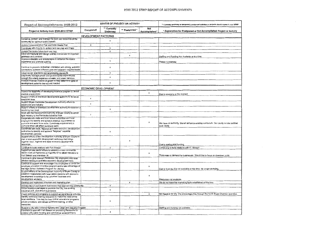| Report of Accomplishments 2008-2012                                                                                                 |                      |                          | <b>STATUS OF PROJECT OR ACTIVITY</b> |                       | ** Currently underway or temporarily postponed activities or projects should appear in new STWP |
|-------------------------------------------------------------------------------------------------------------------------------------|----------------------|--------------------------|--------------------------------------|-----------------------|-------------------------------------------------------------------------------------------------|
| Project or Activity from 2008-2012 STWP                                                                                             | Completed            | ** Currently<br>Underway | ** Postponed                         | Not<br>Accomplished * | * Explanation for Postponed or Not Accomplished Project or Activity                             |
|                                                                                                                                     | DEVELOPMENT PATTERNS |                          |                                      |                       |                                                                                                 |
| Conserve, protect, and manage the land use resources of the<br>community for optimum public benefit                                 |                      | $\pmb{\chi}$             |                                      |                       |                                                                                                 |
| Update Comprehensive Plan and Solid Waste Plan                                                                                      | x                    |                          |                                      |                       |                                                                                                 |
| Coordinate with County to update land use plan and maps                                                                             |                      | х                        |                                      |                       |                                                                                                 |
| Undate Pembroke future land use map                                                                                                 |                      | x                        |                                      |                       |                                                                                                 |
| Adopt architectural and design overlay ordinances for important                                                                     |                      |                          | $\boldsymbol{\mathsf{x}}$            |                       |                                                                                                 |
| gateways and corridors                                                                                                              |                      |                          |                                      |                       | Staffing and Funding Not Available at this time                                                 |
| Improve sidewalks and streetscapes to enhance the scenic<br>experience and promote walking                                          |                      | x                        |                                      |                       | Phase 4 Underway                                                                                |
| Continue to promote pedestrian orientation with strong, walkable<br>connections between different uses and adjacent neighborhoods   |                      | X                        |                                      |                       |                                                                                                 |
|                                                                                                                                     |                      | x                        |                                      |                       |                                                                                                 |
| Adopt design standards and landscaping standards<br>Effectively manage growth and governmental expenditures                         |                      | х                        |                                      |                       |                                                                                                 |
| through the orderly expansion of water and sewer services                                                                           |                      |                          |                                      |                       |                                                                                                 |
| Analyze financial impacts of growth to help determine types of<br>development patterns desired and needed                           |                      | x                        |                                      |                       |                                                                                                 |
|                                                                                                                                     | ECONOMIC DEVELOPMENT |                          |                                      |                       |                                                                                                 |
| Assess the feasibility of developing incentive program to attract<br>medical practitioners                                          |                      |                          |                                      | x                     | Due to economy at the moment                                                                    |
| Support efforts of downtown development authority to revitalize<br>downtown area                                                    | $\mathbf x$          |                          |                                      |                       |                                                                                                 |
| Support Bryan-Pembroke Development Authority efforts to<br>attract jobs and industry                                                | $\pmb{\times}$       |                          |                                      |                       |                                                                                                 |
| Support efforts of downtown development authority to establish a                                                                    |                      |                          |                                      |                       |                                                                                                 |
| revolving loan fund                                                                                                                 |                      | x                        |                                      |                       |                                                                                                 |
| Work with the Development Authority of Bryan County to attract<br>light industry to the Pembroke Industrial Park                    | $\mathbf{x}$         |                          |                                      |                       |                                                                                                 |
| Cooperate with state and local school authorities and local                                                                         |                      |                          |                                      |                       |                                                                                                 |
| employers to identify and achieve practical improvement in                                                                          |                      |                          |                                      | x                     | We have no authority. We will enhance existing curriculum. Our county is now certified          |
| curricula and work force skills. Coordinate improvement in<br>curricula which will affect workforce skills                          |                      |                          |                                      |                       | work ready                                                                                      |
| Coordinate with local, regional and state economic development                                                                      |                      |                          |                                      |                       |                                                                                                 |
| authorities to identify and achieve "targeted" industrial                                                                           |                      | $\pmb{\times}$           |                                      |                       |                                                                                                 |
| development services<br>Support efforts of the Development Authority of Bryan County to                                             |                      |                          |                                      |                       |                                                                                                 |
| plan a local economic development workshop that brings                                                                              |                      |                          |                                      |                       |                                                                                                 |
| together local, regional and state economic development                                                                             |                      |                          | $\pmb{\times}$                       |                       |                                                                                                 |
| resources                                                                                                                           |                      |                          |                                      |                       | Due to staffing and funding                                                                     |
| Continue to build relations with Fort Stewart                                                                                       |                      | х                        |                                      |                       | Continuing to build relations with Ft. Stewart                                                  |
| Support private sector efforts to establish a new commercial                                                                        |                      |                          |                                      |                       |                                                                                                 |
| district north of Pembroke on Highway 67 to altract travelers to<br>Fort Stewart and Interstate 16                                  |                      |                          |                                      | ×                     | There was no demand for businesses. Would like to focus on downtown area.                       |
| Continue to give relevant Pembroke City employees and local                                                                         |                      |                          |                                      |                       |                                                                                                 |
| officials training in available economic development tools                                                                          |                      | x                        |                                      |                       |                                                                                                 |
| Continue to support and encourage City employees to utilize the                                                                     |                      |                          |                                      |                       |                                                                                                 |
| employee education incentive program and to take advantage of                                                                       |                      |                          |                                      | x                     |                                                                                                 |
| the High School Outreach Program for Literacy                                                                                       |                      |                          |                                      |                       | Due to funding, it is not available at this time. No longer pursuing                            |
| Support efforts of the Development Authority of Bryan County to<br>establish relationships with local retired persons with economic |                      |                          |                                      |                       |                                                                                                 |
| development knowledge to be volunteer business and                                                                                  |                      |                          |                                      | X                     |                                                                                                 |
| development advisors                                                                                                                |                      |                          |                                      |                       | Resources not available                                                                         |
| Develop and implement a tourism and marketing plan                                                                                  |                      |                          | x                                    |                       | We do not have the marketing tools established at this time                                     |
| Actively recruit and support businesses that best suit the community                                                                |                      | ×                        |                                      |                       |                                                                                                 |
| Utilize incentive packages to promote the City, the existing<br>industrial park, and attract businesses                             |                      | x                        |                                      |                       |                                                                                                 |
| Create policies and programs to support entrepreneurial activities                                                                  |                      |                          |                                      | $\pmb{\times}$        | Not feasible for city. City encourages this through the North Bryan Chamber and DDA.            |
| Identify workforce training resources to match the need of the                                                                      |                      |                          |                                      |                       |                                                                                                 |
| local workforce. This may be from formal educational programs,                                                                      |                      | $\pmb{\times}$           |                                      |                       |                                                                                                 |
| private providers, specialized workforce training, or other<br>resources                                                            |                      |                          |                                      |                       |                                                                                                 |
| Support a city-wide Adopt-a-Highway and Clean and Beautiful Program                                                                 |                      |                          | $\pmb{\times}$                       |                       | Staffing and funding not available.                                                             |
| Continue to work with Fort Stewart on promoting Pembroke for                                                                        |                      |                          |                                      |                       |                                                                                                 |
| enlisted affordable housing and commercial establishments                                                                           |                      | ×                        |                                      |                       |                                                                                                 |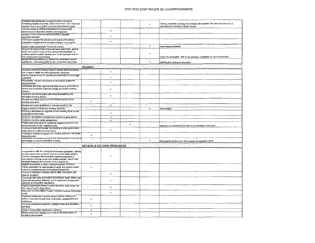| Establish partnership with Georgia Southern University,                                                                           |                |                              |                |                    |                                                                                   |
|-----------------------------------------------------------------------------------------------------------------------------------|----------------|------------------------------|----------------|--------------------|-----------------------------------------------------------------------------------|
| Armstrong Atlantic University, SGAD-Savarinah Tech, UGA and                                                                       |                |                              |                | ×                  | Training, expertise, funding and contacts not available. Will work with the DCA & |
| Georgia Tech to accomplish economic development goals                                                                             |                |                              |                |                    | Development Authority of Bryan County.                                            |
| Address needs of existing businesses to improve local                                                                             |                | $\pmb{\chi}$                 |                |                    |                                                                                   |
| environment for business retention and expansion                                                                                  |                |                              |                |                    |                                                                                   |
| dentify a niche market and promote that to potential<br>business/industries                                                       |                | $\pmb{\times}$               |                |                    |                                                                                   |
| Continue to support the activities and events of the Better                                                                       |                |                              |                |                    |                                                                                   |
| Hometown Program and to allocate funding to the program                                                                           |                | x                            |                |                    |                                                                                   |
|                                                                                                                                   |                |                              |                |                    |                                                                                   |
| Explore making Downtown Pembroke wireless<br>Support the improvement of the education attainment, general                         |                |                              |                | х                  | have installed wireless.                                                          |
| health and income levels of the community's population, to                                                                        |                |                              |                |                    |                                                                                   |
| produce optimum public benefits such as living wages and full                                                                     |                |                              |                | $\pmb{\mathsf{x}}$ |                                                                                   |
| time employment opportunities                                                                                                     |                |                              |                |                    | Could not accomplish. Will not be persued. Unrealistic for city to accomplish.    |
| Survey the local workforce to determine composition, worker                                                                       |                |                              |                |                    |                                                                                   |
| satisfaction, commuting patterns, etc. of the local labor force                                                                   |                |                              |                | x                  | Staffing and funding not available                                                |
|                                                                                                                                   | <b>HOUSING</b> |                              |                |                    |                                                                                   |
| Conduct a housing inventory study to identify which structures                                                                    |                |                              |                |                    |                                                                                   |
| are in need of repair and take appropriate measures                                                                               |                | x                            |                |                    |                                                                                   |
| identify blighted areas for planning purposed and to encourage                                                                    |                |                              |                |                    |                                                                                   |
| upgrading                                                                                                                         |                | x                            |                |                    |                                                                                   |
| Rehabilitate, maintain and preserve old historic residential                                                                      |                |                              |                |                    |                                                                                   |
| neighborhoods                                                                                                                     |                | $\pmb{\times}$               |                |                    |                                                                                   |
| Coordinate with local, regional and state housing authorities to                                                                  |                |                              |                |                    |                                                                                   |
| identify and to achieve improved private and public housing                                                                       |                | х                            |                |                    |                                                                                   |
| choices                                                                                                                           |                |                              |                |                    |                                                                                   |
| Pembroke will aid the public with rental accessibility and<br>affordable housing options                                          |                | x                            |                |                    |                                                                                   |
| Develop and adopt plan to provide infrastructure to serve                                                                         |                |                              |                |                    |                                                                                   |
| growing population                                                                                                                | $\pmb{\times}$ |                              |                |                    |                                                                                   |
| Develop and adopt guidelines to manage growth in City                                                                             |                |                              |                |                    |                                                                                   |
|                                                                                                                                   |                | х                            |                |                    |                                                                                   |
| Support efforts of Pembroke Housing Authority<br>Work with developers to upgrade current housing stock for low-                   |                |                              |                | x                  | Non-existent                                                                      |
| moderate income areas                                                                                                             |                | $\mathsf{x}$                 |                |                    |                                                                                   |
| Work with developers to expand low-income housing options                                                                         |                | $\pmb{\times}$               |                |                    |                                                                                   |
|                                                                                                                                   |                |                              |                |                    |                                                                                   |
| Conduct a housing needs assessment<br>Create small area plans for traditional neighborhoods and the                               |                | $\times$                     |                |                    |                                                                                   |
| redevelopment of older neighborhoods                                                                                              |                |                              | $\pmb{\times}$ |                    | Deemed not a priority at this time; to be revisited in the future.                |
| Continue to work with private, non-profit and other government                                                                    |                |                              |                |                    |                                                                                   |
| organizations to offer housing options                                                                                            |                | x                            |                |                    |                                                                                   |
| Investigate available programs and funding sources to stimulate                                                                   |                |                              |                |                    |                                                                                   |
| redevelopment                                                                                                                     | х              |                              |                |                    |                                                                                   |
| consider an digination to require new developments to provide a<br>percentage of units for affordable housing                     |                |                              |                | $\pmb{\times}$     |                                                                                   |
|                                                                                                                                   |                |                              |                |                    | Not a priority at this time. GICH project will address in 2016                    |
|                                                                                                                                   |                | NATURAL & CULTURAL RESOURCES |                |                    |                                                                                   |
|                                                                                                                                   |                |                              |                |                    |                                                                                   |
| In cooperation with the County Environmental Sanitarian, identify                                                                 |                |                              |                |                    |                                                                                   |
| all point-source and non-profit source environmental pollution                                                                    |                |                              |                |                    |                                                                                   |
| hazards, unplugged wells and other potential pollutants of                                                                        |                | х                            |                |                    |                                                                                   |
| groundwater recharge areas (into shallow aquifer); adopt local                                                                    |                |                              |                |                    |                                                                                   |
| remedial programs and pollution control regulations                                                                               |                |                              |                |                    |                                                                                   |
| Support local efforts to obtain National Register of Historic<br>Places registration for appropriate privately and publicly owned |                |                              |                |                    |                                                                                   |
| historical, architectural and archeological properties                                                                            | x              |                              |                |                    |                                                                                   |
| Contruct a recreation complex: nature trails, bike paths, and                                                                     |                |                              |                |                    |                                                                                   |
| passive recreation                                                                                                                |                | $\pmb{\times}$               |                |                    |                                                                                   |
| Coordinate with state and federal authorities to better define high-                                                              |                |                              |                |                    |                                                                                   |
| value and productive wetlands, and to implement all applicable                                                                    |                | х                            |                |                    |                                                                                   |
| wellands and floodplain regulations                                                                                               |                |                              |                |                    |                                                                                   |
| Expand streetscape project to entire downtown area along Hwy                                                                      |                | x                            |                |                    |                                                                                   |
| 280, Hwy 67 and College Street<br>Renovate Tos (Billy Miles) Theater, convert to use as community                                 |                |                              |                |                    |                                                                                   |
| center                                                                                                                            |                | x                            |                |                    |                                                                                   |
| implement measures to protect valued natural, cultural and                                                                        |                |                              |                |                    |                                                                                   |
| historic resources through local inventories, assessments and                                                                     | X              |                              |                |                    |                                                                                   |
| ordinances                                                                                                                        |                |                              |                |                    |                                                                                   |
| Set aside designated areas for a variety of park and recreation                                                                   |                |                              |                |                    |                                                                                   |
| activities                                                                                                                        | x              |                              |                |                    |                                                                                   |
| Adopt a conservation subdivision ordinance                                                                                        | x              |                              |                |                    |                                                                                   |
| Modify subdivision regulations to require the preservation of                                                                     | $\pmb{\times}$ |                              |                |                    |                                                                                   |
| sensitive natural areas                                                                                                           |                |                              |                |                    |                                                                                   |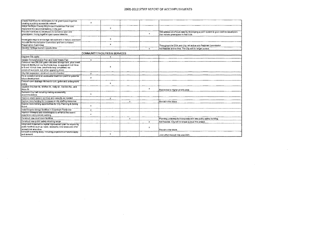| Create incentives for developers to link greenspace together.<br>creating a publicly accessible network | x                         |                                            |              |              |                                                                                         |
|---------------------------------------------------------------------------------------------------------|---------------------------|--------------------------------------------|--------------|--------------|-----------------------------------------------------------------------------------------|
| Adopt the Bryan County Bicycle and Pedestrian Plan and                                                  |                           |                                            |              |              |                                                                                         |
| implement the recommendations in the plan                                                               |                           | $\mathbf{x}$                               |              |              |                                                                                         |
| Provide incentives to developers to conserve open and                                                   |                           |                                            |              |              | Will address at a future date by developing a point system to give credit to developers |
| greenspace, linking together open space networks                                                        |                           |                                            |              | x            | that include greenspace in their bids.                                                  |
| Investigate ways to encourage reinvestment in historic downtown                                         |                           | x                                          |              |              |                                                                                         |
| Activate the Revitalization Committee and form a Historic                                               |                           |                                            |              |              |                                                                                         |
| Preservation Committee                                                                                  |                           | х                                          |              |              | Throughout the DDA and City; sot active with Regional Commission                        |
| Develop heritage tourism opportunities                                                                  |                           |                                            |              | $\mathbf{x}$ | Not feasible at this time. The City will no longer pursue.                              |
|                                                                                                         |                           | <b>COMMUNITY FACILITIES &amp; SERVICES</b> |              |              |                                                                                         |
| Upgrade City parks                                                                                      |                           | x                                          |              |              |                                                                                         |
| Update Comprehensive Plan and Solid Waste Plan                                                          | $\boldsymbol{\mathsf{x}}$ |                                            |              |              |                                                                                         |
| Construct new 250,000 gallon elevated storage tank, plus a well;                                        |                           |                                            |              |              |                                                                                         |
| Improve distribution via Southside loop; & upgrade 6 inch lines                                         |                           |                                            |              |              |                                                                                         |
| to 8 and 10 inch lines. (southside loop completed; not                                                  |                           | х                                          |              |              |                                                                                         |
| constructing a tank, but rather upgrading lines)                                                        |                           |                                            |              |              |                                                                                         |
| City Hall expansion: construct council chamber                                                          | $\mathsf{x}$              |                                            |              |              |                                                                                         |
| Fill in oxidation pond at wastewater treatment plant for potential                                      | $\times$                  |                                            |              |              |                                                                                         |
| future development                                                                                      |                           |                                            |              |              |                                                                                         |
| Convert open drainage ditches to curb, gutter and underground                                           |                           | $\pmb{\times}$                             |              |              |                                                                                         |
| piping                                                                                                  |                           |                                            |              |              |                                                                                         |
| Upgrade Shuman St., McRae St., Kelly St., Old Still Rd., and<br>Ware St.                                |                           |                                            |              | $\times$     |                                                                                         |
|                                                                                                         |                           |                                            |              |              | Redirected to higher priority area.                                                     |
| Remodel City Hall including making accessibility<br>accommodations                                      | $\mathbf{x}$              |                                            |              |              |                                                                                         |
|                                                                                                         |                           |                                            |              |              |                                                                                         |
| Improve sewer system services and capacity as needed                                                    |                           | $\mathbf{x}$                               |              |              |                                                                                         |
| Explore more funding for increases in city staffing resources                                           |                           |                                            | $\mathbf{x}$ |              | Revisit in the future.                                                                  |
| Explore more training opportunities for City Planning & Zoning<br>Board                                 | $\times$                  |                                            |              |              |                                                                                         |
| Install bicycle storage facilities in Downtown Pembroke                                                 | $\times$                  |                                            |              |              |                                                                                         |
| Improve sidewalks and streetscapes to enhance the scenic                                                |                           |                                            |              |              |                                                                                         |
| experience and promote walking                                                                          | х                         |                                            |              |              |                                                                                         |
| Construct new court room facilities                                                                     |                           |                                            | x            |              | Planning underway to incorporate with new public safety building.                       |
| Construct new public safety shooting range                                                              |                           |                                            |              | $\mathbf{x}$ | Not feasible. City will no longer pursue this project.                                  |
| Adopt and implement a capital improvement plan for improving                                            |                           |                                            |              |              |                                                                                         |
| public facilities such as roads, sidewalks, bike lanes and other                                        |                           |                                            |              | x            |                                                                                         |
| recreational amenities                                                                                  |                           |                                            |              |              | Revisit in the future.                                                                  |
| Conduct a parking study, including projections of future supply                                         |                           | x                                          |              |              |                                                                                         |
| and demand                                                                                              |                           |                                            |              |              | Joint effort through City and DDA                                                       |

 $\sim 10^{-1}$ 

 $\label{eq:2.1} \frac{1}{2}\sum_{i=1}^n\frac{1}{2}\sum_{i=1}^n\frac{1}{2}\sum_{i=1}^n\frac{1}{2}\sum_{i=1}^n\frac{1}{2}\sum_{i=1}^n\frac{1}{2}\sum_{i=1}^n\frac{1}{2}\sum_{i=1}^n\frac{1}{2}\sum_{i=1}^n\frac{1}{2}\sum_{i=1}^n\frac{1}{2}\sum_{i=1}^n\frac{1}{2}\sum_{i=1}^n\frac{1}{2}\sum_{i=1}^n\frac{1}{2}\sum_{i=1}^n\frac{1}{2}\sum_{i=1}^n\$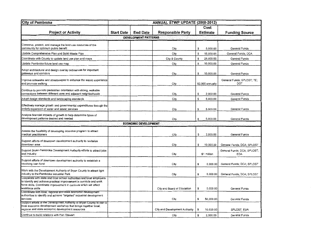| <b>City of Pembroke</b>                                                                                                                                                                                                                  | <b>ANNUAL STWP UPDATE (2008-2012)</b> |                                                                 |                                |    |                       |                                           |  |
|------------------------------------------------------------------------------------------------------------------------------------------------------------------------------------------------------------------------------------------|---------------------------------------|-----------------------------------------------------------------|--------------------------------|----|-----------------------|-------------------------------------------|--|
| <b>Project or Activity</b>                                                                                                                                                                                                               | <b>Start Date</b>                     | Cost<br>Estimate<br><b>End Date</b><br><b>Responsible Party</b> |                                |    | <b>Funding Source</b> |                                           |  |
|                                                                                                                                                                                                                                          |                                       | <b>DEVELOPMENT PATTERNS</b>                                     |                                |    |                       |                                           |  |
| Conserve, protect, and manage the jand use resources of the<br>community for optimum public benefit                                                                                                                                      |                                       |                                                                 | City                           | \$ | 5,000.00              | General Funds                             |  |
| Jpdate Comprehensive Plan and Solid Waste Plan                                                                                                                                                                                           |                                       |                                                                 | City                           | \$ | 15,000.00             | General Funds; DCA                        |  |
| Coordinate with County to update land use plan and maps                                                                                                                                                                                  |                                       |                                                                 | City & County                  | \$ | 25,000.00             | General Funds                             |  |
| Jpdate Pembroke future land use map                                                                                                                                                                                                      |                                       |                                                                 | City                           | \$ | 10,000.00             | General Funds                             |  |
| Adopt architectural and design overlay ordinances for important<br>gateways and corridors                                                                                                                                                |                                       |                                                                 | City                           | \$ | 10,000.00             | General Funds                             |  |
| Improve sidewalks and streetscapes to enhance the scenic experience<br>and promote walking                                                                                                                                               |                                       |                                                                 | City                           |    | \$2,000 annually      | General Funds; SPLOST; TE;<br>DOT         |  |
| Continue to promote pedestrian orientation with strong, walkable<br>connections between different uses and adjacent neighborhoods                                                                                                        |                                       |                                                                 | City                           | \$ | 2,000.00              | General Funds                             |  |
| Adopt design standards and landscaping standards                                                                                                                                                                                         |                                       |                                                                 | City                           | \$ | 5,000.00              | General Funds                             |  |
| Effectively manage growth and governmental expenditures through the<br>orderly expansion of water and sewer services                                                                                                                     |                                       |                                                                 | City                           | S  | 5,000.00              | General Funds                             |  |
| Analyze financial impacts of growth to help determine types of<br>development patterns desired and needed                                                                                                                                |                                       |                                                                 | City                           | \$ | 5,000.00              | General Funds                             |  |
|                                                                                                                                                                                                                                          |                                       | <b>ECONOMIC DEVELOPMENT</b>                                     |                                |    |                       |                                           |  |
| Assess the feasibility of developing incentive program to attract<br>medical practitioners                                                                                                                                               |                                       |                                                                 | City                           | \$ | 2,000.00              | General Funds                             |  |
| Support efforts of downtown development authority to revitalize<br>downtown area                                                                                                                                                         |                                       |                                                                 | City                           | \$ | 10,000.00             | General Funds; DCA; SPLOST                |  |
| Support Bryan-Pembroke Development Authority efforts to attract jobs<br>and industry                                                                                                                                                     |                                       |                                                                 | City                           |    | \$1 million           | General Funds: DCA; SPLOST;<br><b>EDA</b> |  |
| Support efforts of downtown development authority to establish a<br>revolving loan fund                                                                                                                                                  |                                       |                                                                 | City                           | \$ | 5,000.00              | General Funds; DCA; SPLOST                |  |
| Work with the Development Authority of Bryan County to attract light<br>industry to the Pembroke Industrial Park                                                                                                                         |                                       |                                                                 | City                           | \$ | 5,000.00              | General Funds; DCA; SPLOST                |  |
| Cooperate with state and local school authorities and local employers<br>to identify and achieve practical improvement in curricula and work<br>force skills. Coordinate improvement in curricula which will affect<br>lworkforce skills |                                       |                                                                 | City and Board of Education    | \$ | 5,000.00              | General Funds                             |  |
| Coordinate with local, regional and state economic development<br>authorities to identify and achieve "targeted" industrial development<br> services                                                                                     |                                       |                                                                 | City                           | \$ | 50,000.00             | General Funds                             |  |
| Support efforts of the Development Authority of Bryan County to plan a<br>local economic development workshop that brings together local,<br>regional and state economic development resources                                           |                                       |                                                                 | City and Development Authority | \$ | 10,000.00             | SPLOST: EDA                               |  |
| Continue to build relations with Fort Stewart                                                                                                                                                                                            |                                       |                                                                 | City                           | \$ | 2,000,00              | General Funds                             |  |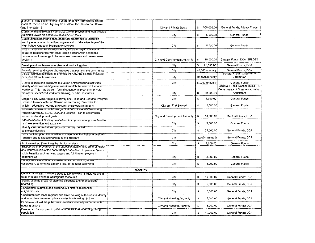| Support private sector efforts to establish a new commercial district<br>north of Pembroke on Highway 67 to attract travelers to Fort Stewart<br>and Interstate 16                                        |                | City and Private Sector        | \$              | 500,000.00       | General Funds; Private Funds                                                       |
|-----------------------------------------------------------------------------------------------------------------------------------------------------------------------------------------------------------|----------------|--------------------------------|-----------------|------------------|------------------------------------------------------------------------------------|
| Continue to give relevant Pembroke City employees and local officials<br>training in available economic development tools                                                                                 |                | City                           | s.              | 5,000.00         | General Funds                                                                      |
| Continue to support and encourage City employees to utilize the                                                                                                                                           |                |                                |                 |                  |                                                                                    |
| employee education incentive program and to take advantage of the<br>High School Outreach Program for Literacy                                                                                            |                | City                           | \$              | 5,000,00         | General Funds                                                                      |
| Support efforts of the Development Authority of Bryan County to                                                                                                                                           |                |                                |                 |                  |                                                                                    |
| establish relationships with local retired persons with economic<br>development knowledge to be volunteer business and development<br>advisors                                                            |                | City and Development Authority | \$              | 10,000.00        | General Funds; DCA: SPLOST                                                         |
| Develop and implement a tourism and marketing plan                                                                                                                                                        |                | City                           | \$              | 25.000.00        | General Funds; DCA                                                                 |
| Actively recruit and support businesses that best suit the community                                                                                                                                      |                | City                           |                 | \$5,000 annually | General Funds; DCA                                                                 |
| Utilize incentive packages to promote the City, the existing industrial<br>park, and attract businesses                                                                                                   |                | City                           |                 | \$5,000 annually | General Funds; Chamber of<br>Commerce                                              |
| Create policies and programs to support entrepreneurial activities                                                                                                                                        |                | City                           |                 | \$2,000 annually | General Funds                                                                      |
| identify workforce training resources to match the need of the local<br>workforce. This may be from formal educational programs, private<br>providers, specialized workforce training, or other resources |                | City                           | \$              | 10,000.00        | General Funds; School Taxes; USI<br>Departments of Commerce; Labor:<br>Agriculture |
| Support a city-wide Adopt-a-Highway and Clean and Beautiful Program                                                                                                                                       |                | City                           | $\mathbbmss{S}$ | 5,000.00         | General Funds                                                                      |
| Continue to work with Fort Stewart on promoting Pembroke for<br>enlisted affordable housing and commercial establishments                                                                                 |                | City and Fort Stewart          | \$              | 2,000.00         | General Funds                                                                      |
| Establish partnership with Georgia Southern University, Armstrong<br>Atlantic University, SCAD, UGA and Georgia Tech to accomplish<br>economic development goals                                          |                | City and Development Authority | \$              | 10,000,00        | General Funds; DCA                                                                 |
| Address needs of existing businesses to improve local government for<br>business retention and expansion                                                                                                  |                | City                           | $\mathbb{S}$    | 3,000.00         | General Funds                                                                      |
| Identify a niche market and promote that to potential<br>business/industries                                                                                                                              |                | City                           | S.              | 25,000.00        | General Funds; DCA                                                                 |
| Continue to support the activities and events of the Better Hometown<br>Program and to allocate funding to the program                                                                                    |                | City                           |                 | \$2,000 annually | General Funds; DCA                                                                 |
| Explore making Downtown Pembroke wireless                                                                                                                                                                 |                | City                           | s.              | 2,000.00         | General Funds                                                                      |
| Support the improvement of the education attainment, general health<br>and income levels of the community's population, to produce optimum                                                                |                |                                |                 |                  |                                                                                    |
| public benefits such as living wages and full time employment<br>opportunities                                                                                                                            |                | City                           | $\mathfrak F$   | 2,000.00         | General Funds                                                                      |
| Survey the local workforce to determine composition, worker<br>satisfaction, commuting patterns, etc. of the local labor force                                                                            |                | City                           | s               | 5,000.00         | General Funds                                                                      |
|                                                                                                                                                                                                           | <b>HOUSING</b> |                                |                 |                  |                                                                                    |
| Conduct a housing inventory study to identify which structures are in<br>need of repair and take appropriate measures                                                                                     |                | City                           | S               | 10,000,00        | General Funds; DCA                                                                 |
| lidentify blighted areas for planning purposed and to encourage<br>upgrading                                                                                                                              |                | City                           | \$              | 5,000.00         | General Funds; DCA                                                                 |
| Rehabilitate, maintain and preserve old historic residential<br>neighborhoods                                                                                                                             |                | City                           | s.              | 5,000.00         | General Funds; DCA                                                                 |
| Coordinate with local, regional and state housing authorities to identify<br>and to achieve improved private and public housing choices                                                                   |                | City and Housing Authority     | \$              | 5,000.00         | General Funds; DCA                                                                 |
| Pembroke will aid the public with rental accessibility and affordable<br>housing options                                                                                                                  |                | City and Housing Authority     | \$              | 5,000,00         | General Funds: DCA                                                                 |
| Develop and adopt plan to provide infrastructure to serve growing<br>population                                                                                                                           |                | City                           | \$              | 10,000.00        | General Funds; DCA                                                                 |
|                                                                                                                                                                                                           |                |                                |                 |                  |                                                                                    |

 $\mathcal{L}^{\text{max}}_{\text{max}}$  and  $\mathcal{L}^{\text{max}}_{\text{max}}$ 

 $\sim 10^7$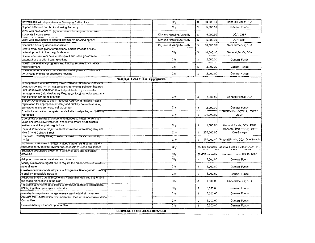| Develop and adopt guidelines to manage growth in City                                                                                 |                                            | City                       | \$ | 10,000.00        | General Funds; DCA                        |  |  |  |  |  |
|---------------------------------------------------------------------------------------------------------------------------------------|--------------------------------------------|----------------------------|----|------------------|-------------------------------------------|--|--|--|--|--|
| Support efforts of Pembroke Housing Authority                                                                                         |                                            | City                       | \$ | 5,000.00         | General Funds                             |  |  |  |  |  |
| Work with developers to upgrade current housing stock for low-<br>moderate income areas                                               |                                            | City and Housing Authority | \$ | 5,000.00         | DCA: CHIP                                 |  |  |  |  |  |
| Work with developers to expand low-income housing options                                                                             |                                            | City and Housing Authority | \$ | 5,000.00         | DCA: CHIP                                 |  |  |  |  |  |
| Conduct a housing needs assessment                                                                                                    |                                            | City and Housing Authority | \$ | 10,000.00        | General Funds; DCA                        |  |  |  |  |  |
| Create small area plans for traditional neighborhoods and the                                                                         |                                            |                            |    |                  |                                           |  |  |  |  |  |
| redevelopment of older neighborhoods                                                                                                  |                                            | City                       | \$ | 10,000.00        | General Funds; DCA                        |  |  |  |  |  |
| Continue to work with private, non-profit and other government<br>organizations to offer housing options                              |                                            | City                       | \$ | 2,000.00         | General Funds                             |  |  |  |  |  |
| Investigate available programs and funding sources to stimulate                                                                       |                                            |                            |    |                  |                                           |  |  |  |  |  |
| redevelopment                                                                                                                         |                                            | City                       | \$ | 2,000.00         | General Funds                             |  |  |  |  |  |
| consider an ordinance to require hew developments to provide a                                                                        |                                            |                            |    |                  |                                           |  |  |  |  |  |
| percentage of units for affordable housing                                                                                            |                                            | City                       | \$ | 2,000.00         | General Funds                             |  |  |  |  |  |
| <b>NATURAL &amp; CULTURAL RESOURCES</b>                                                                                               |                                            |                            |    |                  |                                           |  |  |  |  |  |
| in cooperation with the County Environmental Sanitarian, identity all                                                                 |                                            |                            |    |                  |                                           |  |  |  |  |  |
| point-source and non-profit source environmental pollution hazards,                                                                   |                                            |                            |    |                  |                                           |  |  |  |  |  |
| unplugged wells and other potential pollutants of groundwater<br>recharge areas (into shallow aquifer); adopt local remedial programs |                                            |                            |    |                  |                                           |  |  |  |  |  |
| and pollution control regulations                                                                                                     |                                            | City                       | \$ | 1,000.00         | General Funds; DCA                        |  |  |  |  |  |
| Support local efforts to obtain National Register of Historic Places                                                                  |                                            |                            |    |                  |                                           |  |  |  |  |  |
| registration for appropriate privately and publicly owned historical,                                                                 |                                            |                            |    |                  |                                           |  |  |  |  |  |
| architectural and archeological properties                                                                                            |                                            | City                       | \$ | 2,000.00         | General Funds                             |  |  |  |  |  |
| Contruct a recreation complex: nature trails, bike paths, and passive                                                                 |                                            |                            |    |                  | General Funds; DCA; LWCF;"                |  |  |  |  |  |
| recreation                                                                                                                            |                                            | City                       | \$ | 100,000,00       | <b>USDA</b>                               |  |  |  |  |  |
| Coordinate with state and federal authorities to better define high-                                                                  |                                            |                            |    |                  |                                           |  |  |  |  |  |
| value and productive wetlands, and to implement all applicabla<br>wetlands and floodplain regulations                                 |                                            | City                       | \$ | 1,000.00         | General Funds; DCA; DNR                   |  |  |  |  |  |
| Expand streetscape project to entire downtown area along Hwy 280,                                                                     |                                            |                            |    |                  | General Funds; DCA; DOT;                  |  |  |  |  |  |
| Hwy 67 and College Street                                                                                                             |                                            | City                       | \$ | 250,000.00       | OneGeorgia                                |  |  |  |  |  |
| Renovate Tos (Billy Miles) Theater; convert to use as community                                                                       |                                            |                            |    |                  |                                           |  |  |  |  |  |
| center                                                                                                                                |                                            | City                       | \$ |                  | 100,000.00 General Funds; DCA: OneGeorgia |  |  |  |  |  |
| Implement measures to protect valued natural, cultural and historic                                                                   |                                            |                            |    |                  |                                           |  |  |  |  |  |
| resources through local inventories, assessments and ordinances                                                                       |                                            | City                       |    | \$5,000 annually | General Funds; USDA; DCA; DNR             |  |  |  |  |  |
| Set aside designated areas for a variety of park and recreation<br>lactivities                                                        |                                            | City                       |    | \$2,000 annually | General Funds; USDA; DNR                  |  |  |  |  |  |
|                                                                                                                                       |                                            |                            |    |                  |                                           |  |  |  |  |  |
| Adopt a conservation subdivision ordinance                                                                                            |                                            | City                       | \$ | 5,000.00         | General Funds                             |  |  |  |  |  |
| Modify subdivision regulations to require the preservation of sensitive<br>natural areas                                              |                                            | City                       | £  | 5,000.00         | General Funds                             |  |  |  |  |  |
| Create incentives for developers to link greenspace together, creating                                                                |                                            |                            |    |                  |                                           |  |  |  |  |  |
| a publicly accessible network                                                                                                         |                                            | City                       | \$ | 5,000.00         | General Funds                             |  |  |  |  |  |
| Adopt the Bryan County Bicycle and Pedestrian Plan and implement<br>the recommendations in the plan                                   |                                            | City                       | s  | 5,000.00         | General Funds; DOT                        |  |  |  |  |  |
| Provide incentives to developers to conserve open and greenspace.                                                                     |                                            |                            |    |                  |                                           |  |  |  |  |  |
| linking together open space networks                                                                                                  |                                            | City                       | \$ | 5,000.00         | General Funds                             |  |  |  |  |  |
| Investigate ways to encourage reinvestment in historic downtown                                                                       |                                            | City                       | \$ | 5,000.00         | General Funds                             |  |  |  |  |  |
| Activate the Revitalization Committee and form a Historic Preservation<br>Committee                                                   |                                            | City                       | \$ | 5,000.00         | General Funds                             |  |  |  |  |  |
| Develop heritage tourism opportunities                                                                                                |                                            | City                       | \$ | 5,000.00         | General Funds                             |  |  |  |  |  |
|                                                                                                                                       |                                            |                            |    |                  |                                           |  |  |  |  |  |
|                                                                                                                                       | <b>COMMUNITY FACILITIES &amp; SERVICES</b> |                            |    |                  |                                           |  |  |  |  |  |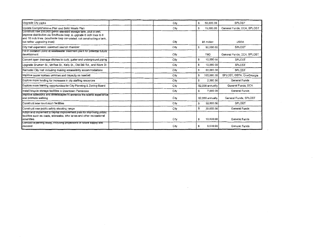| Upgrade City parks                                                                                                                                                                                                                                | City | 50,000.00<br>\$  | SPLOST                     |
|---------------------------------------------------------------------------------------------------------------------------------------------------------------------------------------------------------------------------------------------------|------|------------------|----------------------------|
| Update Comprehensive Plan and Solid Waste Plan                                                                                                                                                                                                    | City | 15,000.00<br>\$  | General Funds; DCA; SPLOST |
| Construct new 250,000 gallon elevated storage tank, plus a well;<br>improve distribution via Southside loop; & upgrade 6 inch lines to 8<br>and 10 inch lines. (southside loop completed; not constructing a tank,<br>but rather upgrading lines) | City | \$5 million      | <b>USDA</b>                |
| City Hall expansion: construct council chamber                                                                                                                                                                                                    | City | 50,000.00<br>\$  | SPLOST                     |
| Fill in oxidation pond at wastewater treatment plant for potential future<br>development                                                                                                                                                          | City | <b>TBD</b>       | General Funds; DCA; SPLOST |
| Convert open drainage ditches to curb, gutter and underground piping                                                                                                                                                                              | City | 10,000.00<br>s   | SPLOST                     |
| Upgrade Shuman St., McRae St., Kelly St., Old Still Rd., and Ware St.                                                                                                                                                                             | City | 10,000.00<br>s   | SPLOST                     |
| Remodel City Hall including making accessibility accommodations                                                                                                                                                                                   | City | S<br>50.000.00   | SPLOST                     |
| Improve sewer system services and capacity as needed                                                                                                                                                                                              | City | 100,000.00<br>\$ | SPLOST: GEFA: OneGeorgia   |
| Explore more funding for increases in city staffing resources                                                                                                                                                                                     | City | 2,000.00<br>S    | General Funds              |
| Explore more training opportunities for City Planning & Zoning Board                                                                                                                                                                              | City | \$2,000 annually | General Funds: DCA         |
| Install bicycle storage facilities in Downtown Pembroke                                                                                                                                                                                           | City | 7,000.00<br>£.   | General Funds              |
| improve sidewalks and streetscapes to enhance the scenic experience<br>and promote walking                                                                                                                                                        | City | \$2,000 annually | General Funds: SPLOST      |
| Construct new court room facilities                                                                                                                                                                                                               | City | 50,000.00<br>\$  | SPLOST                     |
| Construct new public safety shooting range                                                                                                                                                                                                        | City | £.<br>20,000.00  | General Funds              |
| Adopt and implement a capital improvement plan for improving public<br>facilities such as roads, sidewalks, bike lanes and other recreational<br>amenities                                                                                        | City | \$<br>10,000.00  | General Funds              |
| Conquet a parking study, including projections of future supply and<br>idemand                                                                                                                                                                    | City | \$<br>5,000.00   | General Funds              |

 $\mathcal{L}^{\text{max}}_{\text{max}}$